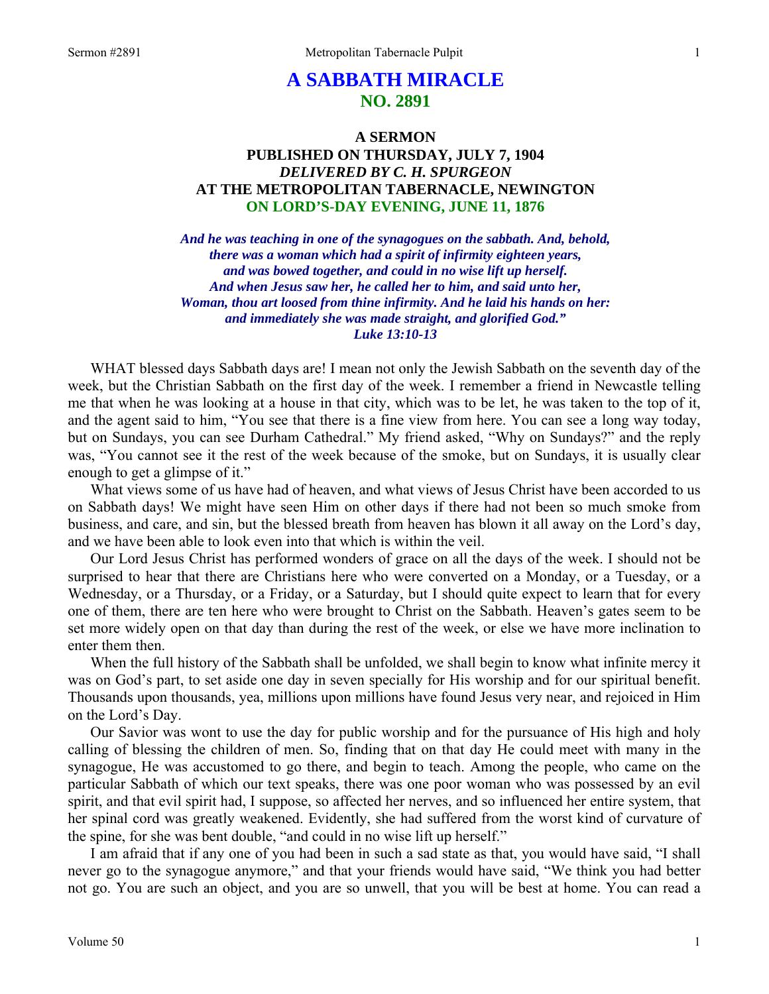# **A SABBATH MIRACLE NO. 2891**

# **A SERMON PUBLISHED ON THURSDAY, JULY 7, 1904**  *DELIVERED BY C. H. SPURGEON*  **AT THE METROPOLITAN TABERNACLE, NEWINGTON ON LORD'S-DAY EVENING, JUNE 11, 1876**

*And he was teaching in one of the synagogues on the sabbath. And, behold, there was a woman which had a spirit of infirmity eighteen years, and was bowed together, and could in no wise lift up herself. And when Jesus saw her, he called her to him, and said unto her, Woman, thou art loosed from thine infirmity. And he laid his hands on her: and immediately she was made straight, and glorified God." Luke 13:10-13* 

WHAT blessed days Sabbath days are! I mean not only the Jewish Sabbath on the seventh day of the week, but the Christian Sabbath on the first day of the week. I remember a friend in Newcastle telling me that when he was looking at a house in that city, which was to be let, he was taken to the top of it, and the agent said to him, "You see that there is a fine view from here. You can see a long way today, but on Sundays, you can see Durham Cathedral." My friend asked, "Why on Sundays?" and the reply was, "You cannot see it the rest of the week because of the smoke, but on Sundays, it is usually clear enough to get a glimpse of it."

What views some of us have had of heaven, and what views of Jesus Christ have been accorded to us on Sabbath days! We might have seen Him on other days if there had not been so much smoke from business, and care, and sin, but the blessed breath from heaven has blown it all away on the Lord's day, and we have been able to look even into that which is within the veil.

Our Lord Jesus Christ has performed wonders of grace on all the days of the week. I should not be surprised to hear that there are Christians here who were converted on a Monday, or a Tuesday, or a Wednesday, or a Thursday, or a Friday, or a Saturday, but I should quite expect to learn that for every one of them, there are ten here who were brought to Christ on the Sabbath. Heaven's gates seem to be set more widely open on that day than during the rest of the week, or else we have more inclination to enter them then.

When the full history of the Sabbath shall be unfolded, we shall begin to know what infinite mercy it was on God's part, to set aside one day in seven specially for His worship and for our spiritual benefit. Thousands upon thousands, yea, millions upon millions have found Jesus very near, and rejoiced in Him on the Lord's Day.

Our Savior was wont to use the day for public worship and for the pursuance of His high and holy calling of blessing the children of men. So, finding that on that day He could meet with many in the synagogue, He was accustomed to go there, and begin to teach. Among the people, who came on the particular Sabbath of which our text speaks, there was one poor woman who was possessed by an evil spirit, and that evil spirit had, I suppose, so affected her nerves, and so influenced her entire system, that her spinal cord was greatly weakened. Evidently, she had suffered from the worst kind of curvature of the spine, for she was bent double, "and could in no wise lift up herself."

I am afraid that if any one of you had been in such a sad state as that, you would have said, "I shall never go to the synagogue anymore," and that your friends would have said, "We think you had better not go. You are such an object, and you are so unwell, that you will be best at home. You can read a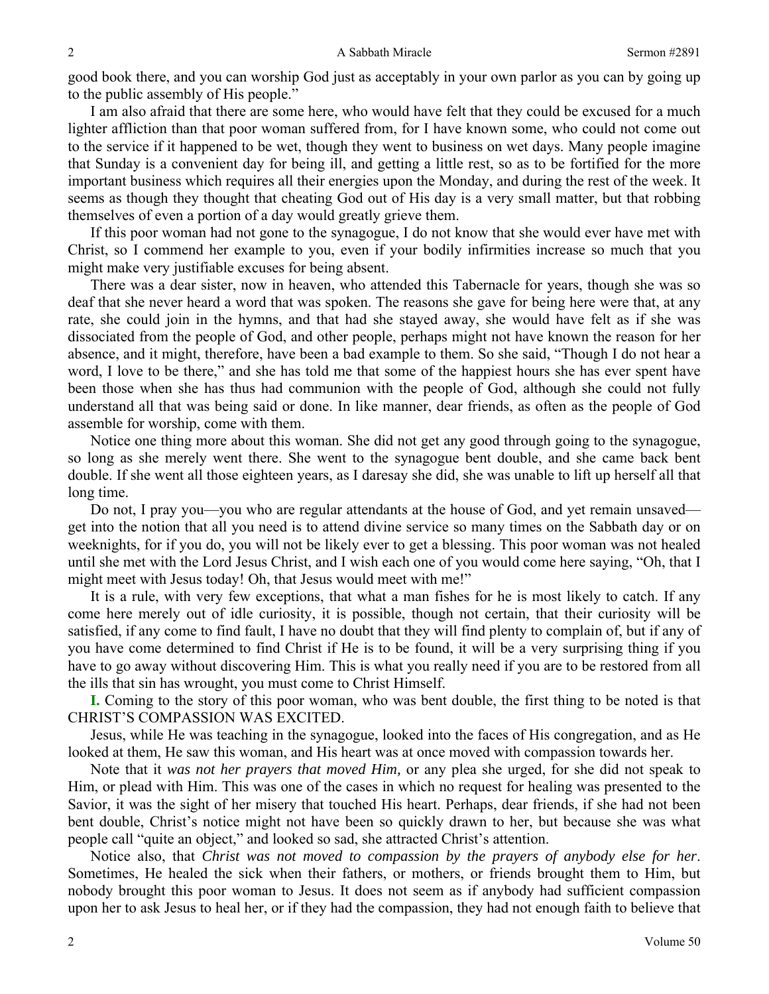good book there, and you can worship God just as acceptably in your own parlor as you can by going up to the public assembly of His people."

I am also afraid that there are some here, who would have felt that they could be excused for a much lighter affliction than that poor woman suffered from, for I have known some, who could not come out to the service if it happened to be wet, though they went to business on wet days. Many people imagine that Sunday is a convenient day for being ill, and getting a little rest, so as to be fortified for the more important business which requires all their energies upon the Monday, and during the rest of the week. It seems as though they thought that cheating God out of His day is a very small matter, but that robbing themselves of even a portion of a day would greatly grieve them.

If this poor woman had not gone to the synagogue, I do not know that she would ever have met with Christ, so I commend her example to you, even if your bodily infirmities increase so much that you might make very justifiable excuses for being absent.

There was a dear sister, now in heaven, who attended this Tabernacle for years, though she was so deaf that she never heard a word that was spoken. The reasons she gave for being here were that, at any rate, she could join in the hymns, and that had she stayed away, she would have felt as if she was dissociated from the people of God, and other people, perhaps might not have known the reason for her absence, and it might, therefore, have been a bad example to them. So she said, "Though I do not hear a word, I love to be there," and she has told me that some of the happiest hours she has ever spent have been those when she has thus had communion with the people of God, although she could not fully understand all that was being said or done. In like manner, dear friends, as often as the people of God assemble for worship, come with them.

Notice one thing more about this woman. She did not get any good through going to the synagogue, so long as she merely went there. She went to the synagogue bent double, and she came back bent double. If she went all those eighteen years, as I daresay she did, she was unable to lift up herself all that long time.

Do not, I pray you—you who are regular attendants at the house of God, and yet remain unsaved get into the notion that all you need is to attend divine service so many times on the Sabbath day or on weeknights, for if you do, you will not be likely ever to get a blessing. This poor woman was not healed until she met with the Lord Jesus Christ, and I wish each one of you would come here saying, "Oh, that I might meet with Jesus today! Oh, that Jesus would meet with me!"

It is a rule, with very few exceptions, that what a man fishes for he is most likely to catch. If any come here merely out of idle curiosity, it is possible, though not certain, that their curiosity will be satisfied, if any come to find fault, I have no doubt that they will find plenty to complain of, but if any of you have come determined to find Christ if He is to be found, it will be a very surprising thing if you have to go away without discovering Him. This is what you really need if you are to be restored from all the ills that sin has wrought, you must come to Christ Himself.

**I.** Coming to the story of this poor woman, who was bent double, the first thing to be noted is that CHRIST'S COMPASSION WAS EXCITED.

Jesus, while He was teaching in the synagogue, looked into the faces of His congregation, and as He looked at them, He saw this woman, and His heart was at once moved with compassion towards her.

Note that it *was not her prayers that moved Him,* or any plea she urged, for she did not speak to Him, or plead with Him. This was one of the cases in which no request for healing was presented to the Savior, it was the sight of her misery that touched His heart. Perhaps, dear friends, if she had not been bent double, Christ's notice might not have been so quickly drawn to her, but because she was what people call "quite an object," and looked so sad, she attracted Christ's attention.

Notice also, that *Christ was not moved to compassion by the prayers of anybody else for her*. Sometimes, He healed the sick when their fathers, or mothers, or friends brought them to Him, but nobody brought this poor woman to Jesus. It does not seem as if anybody had sufficient compassion upon her to ask Jesus to heal her, or if they had the compassion, they had not enough faith to believe that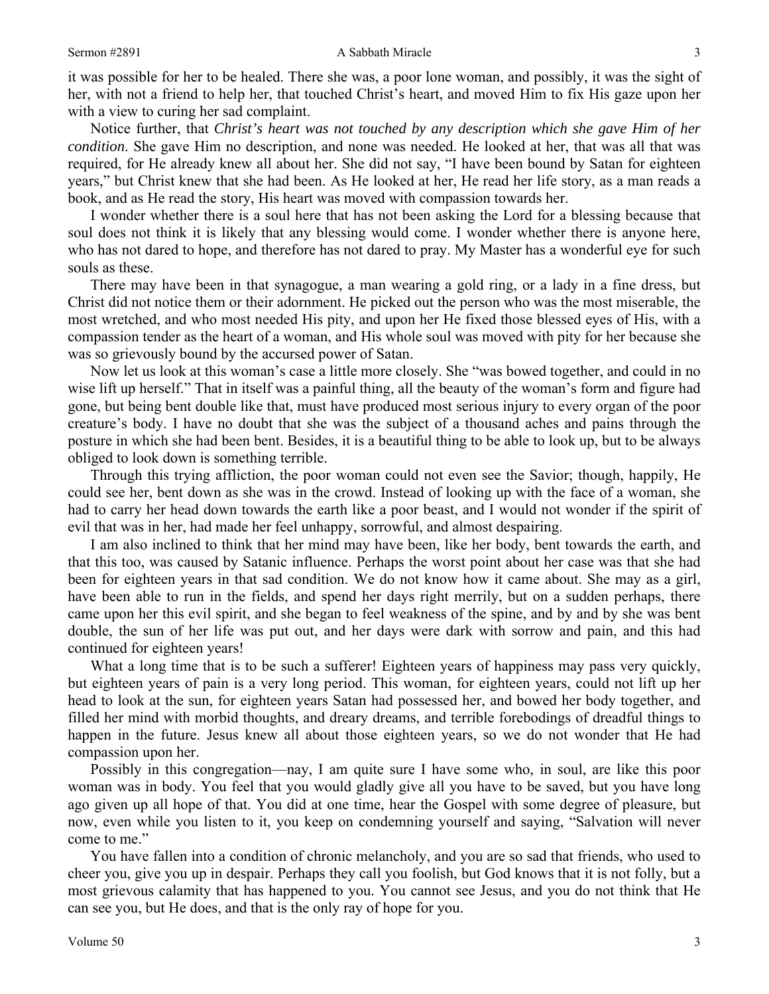it was possible for her to be healed. There she was, a poor lone woman, and possibly, it was the sight of her, with not a friend to help her, that touched Christ's heart, and moved Him to fix His gaze upon her with a view to curing her sad complaint.

Notice further, that *Christ's heart was not touched by any description which she gave Him of her condition*. She gave Him no description, and none was needed. He looked at her, that was all that was required, for He already knew all about her. She did not say, "I have been bound by Satan for eighteen years," but Christ knew that she had been. As He looked at her, He read her life story, as a man reads a book, and as He read the story, His heart was moved with compassion towards her.

I wonder whether there is a soul here that has not been asking the Lord for a blessing because that soul does not think it is likely that any blessing would come. I wonder whether there is anyone here, who has not dared to hope, and therefore has not dared to pray. My Master has a wonderful eye for such souls as these.

There may have been in that synagogue, a man wearing a gold ring, or a lady in a fine dress, but Christ did not notice them or their adornment. He picked out the person who was the most miserable, the most wretched, and who most needed His pity, and upon her He fixed those blessed eyes of His, with a compassion tender as the heart of a woman, and His whole soul was moved with pity for her because she was so grievously bound by the accursed power of Satan.

Now let us look at this woman's case a little more closely. She "was bowed together, and could in no wise lift up herself." That in itself was a painful thing, all the beauty of the woman's form and figure had gone, but being bent double like that, must have produced most serious injury to every organ of the poor creature's body. I have no doubt that she was the subject of a thousand aches and pains through the posture in which she had been bent. Besides, it is a beautiful thing to be able to look up, but to be always obliged to look down is something terrible.

Through this trying affliction, the poor woman could not even see the Savior; though, happily, He could see her, bent down as she was in the crowd. Instead of looking up with the face of a woman, she had to carry her head down towards the earth like a poor beast, and I would not wonder if the spirit of evil that was in her, had made her feel unhappy, sorrowful, and almost despairing.

I am also inclined to think that her mind may have been, like her body, bent towards the earth, and that this too, was caused by Satanic influence. Perhaps the worst point about her case was that she had been for eighteen years in that sad condition. We do not know how it came about. She may as a girl, have been able to run in the fields, and spend her days right merrily, but on a sudden perhaps, there came upon her this evil spirit, and she began to feel weakness of the spine, and by and by she was bent double, the sun of her life was put out, and her days were dark with sorrow and pain, and this had continued for eighteen years!

What a long time that is to be such a sufferer! Eighteen years of happiness may pass very quickly, but eighteen years of pain is a very long period. This woman, for eighteen years, could not lift up her head to look at the sun, for eighteen years Satan had possessed her, and bowed her body together, and filled her mind with morbid thoughts, and dreary dreams, and terrible forebodings of dreadful things to happen in the future. Jesus knew all about those eighteen years, so we do not wonder that He had compassion upon her.

Possibly in this congregation—nay, I am quite sure I have some who, in soul, are like this poor woman was in body. You feel that you would gladly give all you have to be saved, but you have long ago given up all hope of that. You did at one time, hear the Gospel with some degree of pleasure, but now, even while you listen to it, you keep on condemning yourself and saying, "Salvation will never come to me."

You have fallen into a condition of chronic melancholy, and you are so sad that friends, who used to cheer you, give you up in despair. Perhaps they call you foolish, but God knows that it is not folly, but a most grievous calamity that has happened to you. You cannot see Jesus, and you do not think that He can see you, but He does, and that is the only ray of hope for you.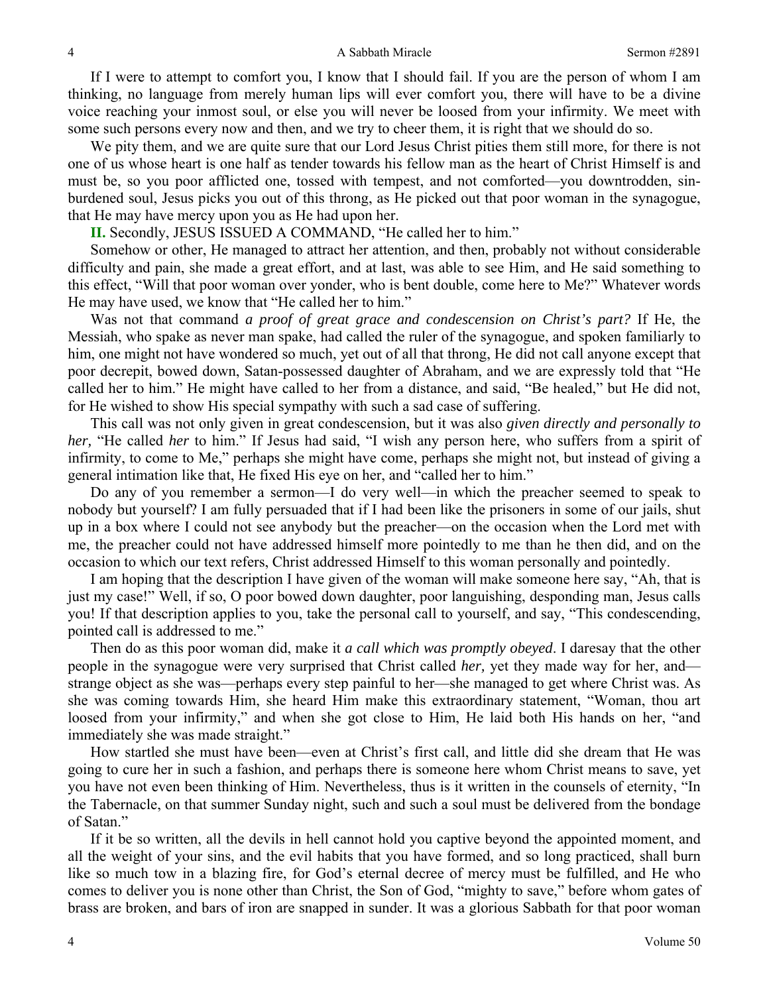If I were to attempt to comfort you, I know that I should fail. If you are the person of whom I am thinking, no language from merely human lips will ever comfort you, there will have to be a divine voice reaching your inmost soul, or else you will never be loosed from your infirmity. We meet with some such persons every now and then, and we try to cheer them, it is right that we should do so.

We pity them, and we are quite sure that our Lord Jesus Christ pities them still more, for there is not one of us whose heart is one half as tender towards his fellow man as the heart of Christ Himself is and must be, so you poor afflicted one, tossed with tempest, and not comforted—you downtrodden, sinburdened soul, Jesus picks you out of this throng, as He picked out that poor woman in the synagogue, that He may have mercy upon you as He had upon her.

**II.** Secondly, JESUS ISSUED A COMMAND, "He called her to him."

Somehow or other, He managed to attract her attention, and then, probably not without considerable difficulty and pain, she made a great effort, and at last, was able to see Him, and He said something to this effect, "Will that poor woman over yonder, who is bent double, come here to Me?" Whatever words He may have used, we know that "He called her to him."

Was not that command *a proof of great grace and condescension on Christ's part?* If He, the Messiah, who spake as never man spake, had called the ruler of the synagogue, and spoken familiarly to him, one might not have wondered so much, yet out of all that throng, He did not call anyone except that poor decrepit, bowed down, Satan-possessed daughter of Abraham, and we are expressly told that "He called her to him." He might have called to her from a distance, and said, "Be healed," but He did not, for He wished to show His special sympathy with such a sad case of suffering.

This call was not only given in great condescension, but it was also *given directly and personally to her,* "He called *her* to him." If Jesus had said, "I wish any person here, who suffers from a spirit of infirmity, to come to Me," perhaps she might have come, perhaps she might not, but instead of giving a general intimation like that, He fixed His eye on her, and "called her to him."

Do any of you remember a sermon—I do very well—in which the preacher seemed to speak to nobody but yourself? I am fully persuaded that if I had been like the prisoners in some of our jails, shut up in a box where I could not see anybody but the preacher—on the occasion when the Lord met with me, the preacher could not have addressed himself more pointedly to me than he then did, and on the occasion to which our text refers, Christ addressed Himself to this woman personally and pointedly.

I am hoping that the description I have given of the woman will make someone here say, "Ah, that is just my case!" Well, if so, O poor bowed down daughter, poor languishing, desponding man, Jesus calls you! If that description applies to you, take the personal call to yourself, and say, "This condescending, pointed call is addressed to me."

Then do as this poor woman did, make it *a call which was promptly obeyed*. I daresay that the other people in the synagogue were very surprised that Christ called *her,* yet they made way for her, and strange object as she was—perhaps every step painful to her—she managed to get where Christ was. As she was coming towards Him, she heard Him make this extraordinary statement, "Woman, thou art loosed from your infirmity," and when she got close to Him, He laid both His hands on her, "and immediately she was made straight."

How startled she must have been—even at Christ's first call, and little did she dream that He was going to cure her in such a fashion, and perhaps there is someone here whom Christ means to save, yet you have not even been thinking of Him. Nevertheless, thus is it written in the counsels of eternity, "In the Tabernacle, on that summer Sunday night, such and such a soul must be delivered from the bondage of Satan."

If it be so written, all the devils in hell cannot hold you captive beyond the appointed moment, and all the weight of your sins, and the evil habits that you have formed, and so long practiced, shall burn like so much tow in a blazing fire, for God's eternal decree of mercy must be fulfilled, and He who comes to deliver you is none other than Christ, the Son of God, "mighty to save," before whom gates of brass are broken, and bars of iron are snapped in sunder. It was a glorious Sabbath for that poor woman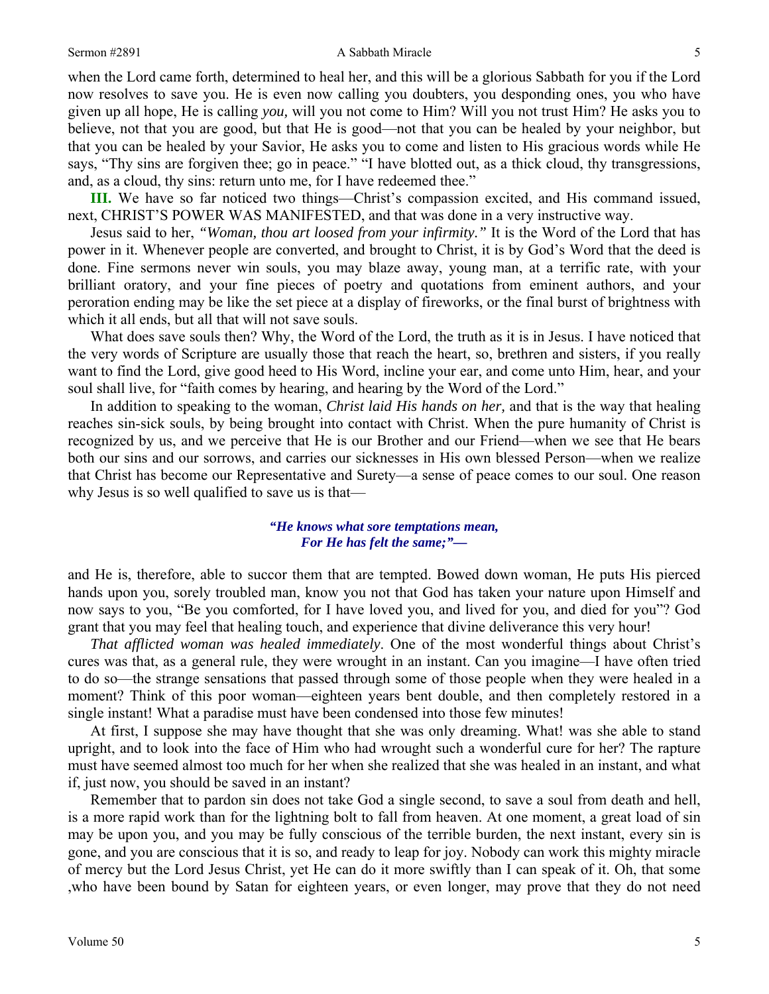#### Sermon #2891 **A Sabbath Miracle** 5

when the Lord came forth, determined to heal her, and this will be a glorious Sabbath for you if the Lord now resolves to save you. He is even now calling you doubters, you desponding ones, you who have given up all hope, He is calling *you,* will you not come to Him? Will you not trust Him? He asks you to believe, not that you are good, but that He is good—not that you can be healed by your neighbor, but that you can be healed by your Savior, He asks you to come and listen to His gracious words while He says, "Thy sins are forgiven thee; go in peace." "I have blotted out, as a thick cloud, thy transgressions, and, as a cloud, thy sins: return unto me, for I have redeemed thee."

**III.** We have so far noticed two things—Christ's compassion excited, and His command issued, next, CHRIST'S POWER WAS MANIFESTED, and that was done in a very instructive way.

Jesus said to her, *"Woman, thou art loosed from your infirmity."* It is the Word of the Lord that has power in it. Whenever people are converted, and brought to Christ, it is by God's Word that the deed is done. Fine sermons never win souls, you may blaze away, young man, at a terrific rate, with your brilliant oratory, and your fine pieces of poetry and quotations from eminent authors, and your peroration ending may be like the set piece at a display of fireworks, or the final burst of brightness with which it all ends, but all that will not save souls.

What does save souls then? Why, the Word of the Lord, the truth as it is in Jesus. I have noticed that the very words of Scripture are usually those that reach the heart, so, brethren and sisters, if you really want to find the Lord, give good heed to His Word, incline your ear, and come unto Him, hear, and your soul shall live, for "faith comes by hearing, and hearing by the Word of the Lord."

In addition to speaking to the woman, *Christ laid His hands on her,* and that is the way that healing reaches sin-sick souls, by being brought into contact with Christ. When the pure humanity of Christ is recognized by us, and we perceive that He is our Brother and our Friend—when we see that He bears both our sins and our sorrows, and carries our sicknesses in His own blessed Person—when we realize that Christ has become our Representative and Surety—a sense of peace comes to our soul. One reason why Jesus is so well qualified to save us is that—

# *"He knows what sore temptations mean, For He has felt the same;"—*

and He is, therefore, able to succor them that are tempted. Bowed down woman, He puts His pierced hands upon you, sorely troubled man, know you not that God has taken your nature upon Himself and now says to you, "Be you comforted, for I have loved you, and lived for you, and died for you"? God grant that you may feel that healing touch, and experience that divine deliverance this very hour!

*That afflicted woman was healed immediately*. One of the most wonderful things about Christ's cures was that, as a general rule, they were wrought in an instant. Can you imagine—I have often tried to do so—the strange sensations that passed through some of those people when they were healed in a moment? Think of this poor woman—eighteen years bent double, and then completely restored in a single instant! What a paradise must have been condensed into those few minutes!

At first, I suppose she may have thought that she was only dreaming. What! was she able to stand upright, and to look into the face of Him who had wrought such a wonderful cure for her? The rapture must have seemed almost too much for her when she realized that she was healed in an instant, and what if, just now, you should be saved in an instant?

Remember that to pardon sin does not take God a single second, to save a soul from death and hell, is a more rapid work than for the lightning bolt to fall from heaven. At one moment, a great load of sin may be upon you, and you may be fully conscious of the terrible burden, the next instant, every sin is gone, and you are conscious that it is so, and ready to leap for joy. Nobody can work this mighty miracle of mercy but the Lord Jesus Christ, yet He can do it more swiftly than I can speak of it. Oh, that some ,who have been bound by Satan for eighteen years, or even longer, may prove that they do not need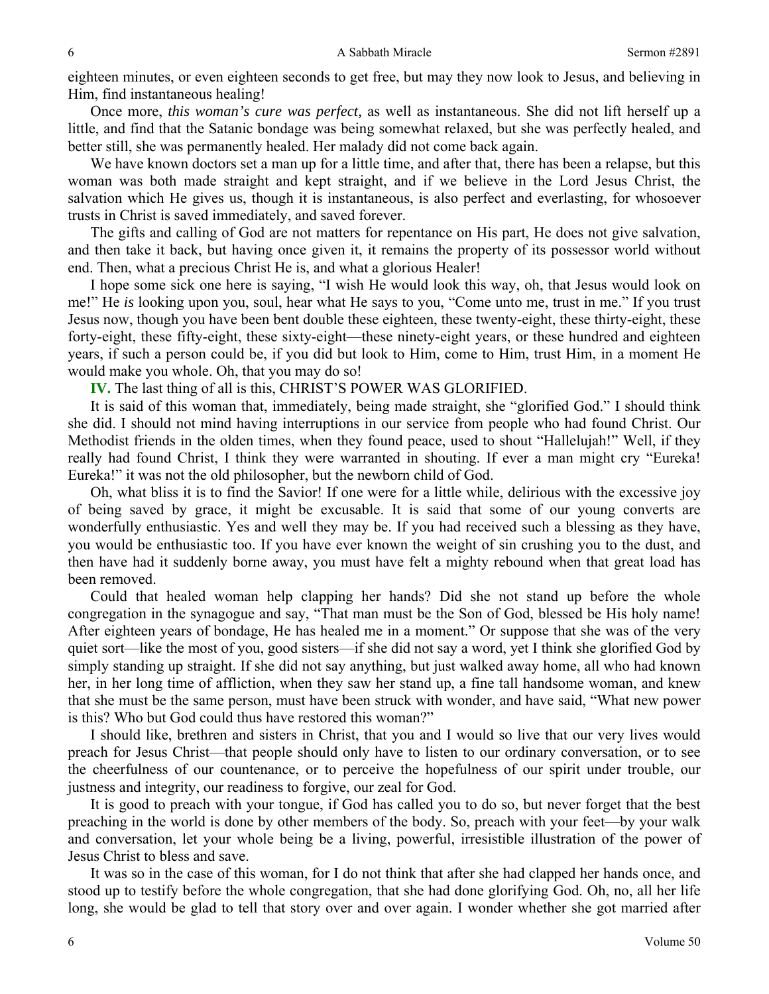eighteen minutes, or even eighteen seconds to get free, but may they now look to Jesus, and believing in Him, find instantaneous healing!

Once more, *this woman's cure was perfect,* as well as instantaneous. She did not lift herself up a little, and find that the Satanic bondage was being somewhat relaxed, but she was perfectly healed, and better still, she was permanently healed. Her malady did not come back again.

We have known doctors set a man up for a little time, and after that, there has been a relapse, but this woman was both made straight and kept straight, and if we believe in the Lord Jesus Christ, the salvation which He gives us, though it is instantaneous, is also perfect and everlasting, for whosoever trusts in Christ is saved immediately, and saved forever.

The gifts and calling of God are not matters for repentance on His part, He does not give salvation, and then take it back, but having once given it, it remains the property of its possessor world without end. Then, what a precious Christ He is, and what a glorious Healer!

I hope some sick one here is saying, "I wish He would look this way, oh, that Jesus would look on me!" He *is* looking upon you, soul, hear what He says to you, "Come unto me, trust in me." If you trust Jesus now, though you have been bent double these eighteen, these twenty-eight, these thirty-eight, these forty-eight, these fifty-eight, these sixty-eight—these ninety-eight years, or these hundred and eighteen years, if such a person could be, if you did but look to Him, come to Him, trust Him, in a moment He would make you whole. Oh, that you may do so!

**IV.** The last thing of all is this, CHRIST'S POWER WAS GLORIFIED.

It is said of this woman that, immediately, being made straight, she "glorified God." I should think she did. I should not mind having interruptions in our service from people who had found Christ. Our Methodist friends in the olden times, when they found peace, used to shout "Hallelujah!" Well, if they really had found Christ, I think they were warranted in shouting. If ever a man might cry "Eureka! Eureka!" it was not the old philosopher, but the newborn child of God.

Oh, what bliss it is to find the Savior! If one were for a little while, delirious with the excessive joy of being saved by grace, it might be excusable. It is said that some of our young converts are wonderfully enthusiastic. Yes and well they may be. If you had received such a blessing as they have, you would be enthusiastic too. If you have ever known the weight of sin crushing you to the dust, and then have had it suddenly borne away, you must have felt a mighty rebound when that great load has been removed.

Could that healed woman help clapping her hands? Did she not stand up before the whole congregation in the synagogue and say, "That man must be the Son of God, blessed be His holy name! After eighteen years of bondage, He has healed me in a moment." Or suppose that she was of the very quiet sort—like the most of you, good sisters—if she did not say a word, yet I think she glorified God by simply standing up straight. If she did not say anything, but just walked away home, all who had known her, in her long time of affliction, when they saw her stand up, a fine tall handsome woman, and knew that she must be the same person, must have been struck with wonder, and have said, "What new power is this? Who but God could thus have restored this woman?"

I should like, brethren and sisters in Christ, that you and I would so live that our very lives would preach for Jesus Christ—that people should only have to listen to our ordinary conversation, or to see the cheerfulness of our countenance, or to perceive the hopefulness of our spirit under trouble, our justness and integrity, our readiness to forgive, our zeal for God.

It is good to preach with your tongue, if God has called you to do so, but never forget that the best preaching in the world is done by other members of the body. So, preach with your feet—by your walk and conversation, let your whole being be a living, powerful, irresistible illustration of the power of Jesus Christ to bless and save.

It was so in the case of this woman, for I do not think that after she had clapped her hands once, and stood up to testify before the whole congregation, that she had done glorifying God. Oh, no, all her life long, she would be glad to tell that story over and over again. I wonder whether she got married after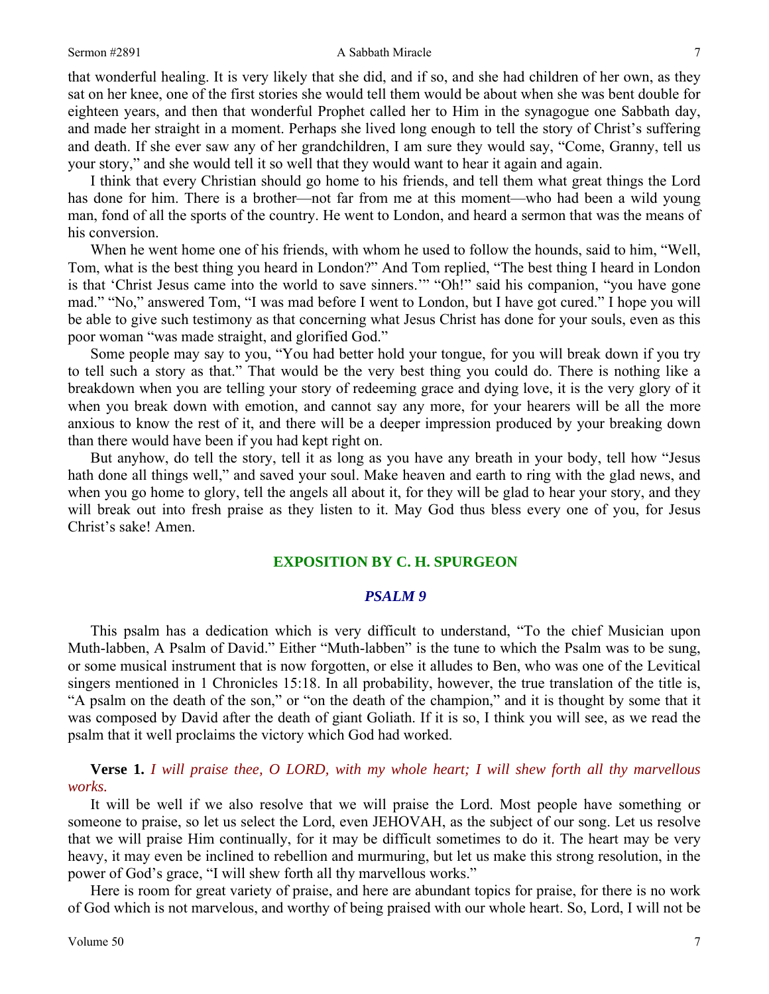#### Sermon #2891 **A Sabbath Miracle** 7

that wonderful healing. It is very likely that she did, and if so, and she had children of her own, as they sat on her knee, one of the first stories she would tell them would be about when she was bent double for eighteen years, and then that wonderful Prophet called her to Him in the synagogue one Sabbath day, and made her straight in a moment. Perhaps she lived long enough to tell the story of Christ's suffering and death. If she ever saw any of her grandchildren, I am sure they would say, "Come, Granny, tell us your story," and she would tell it so well that they would want to hear it again and again.

I think that every Christian should go home to his friends, and tell them what great things the Lord has done for him. There is a brother—not far from me at this moment—who had been a wild young man, fond of all the sports of the country. He went to London, and heard a sermon that was the means of his conversion.

When he went home one of his friends, with whom he used to follow the hounds, said to him, "Well, Tom, what is the best thing you heard in London?" And Tom replied, "The best thing I heard in London is that 'Christ Jesus came into the world to save sinners.'" "Oh!" said his companion, "you have gone mad." "No," answered Tom, "I was mad before I went to London, but I have got cured." I hope you will be able to give such testimony as that concerning what Jesus Christ has done for your souls, even as this poor woman "was made straight, and glorified God."

Some people may say to you, "You had better hold your tongue, for you will break down if you try to tell such a story as that." That would be the very best thing you could do. There is nothing like a breakdown when you are telling your story of redeeming grace and dying love, it is the very glory of it when you break down with emotion, and cannot say any more, for your hearers will be all the more anxious to know the rest of it, and there will be a deeper impression produced by your breaking down than there would have been if you had kept right on.

But anyhow, do tell the story, tell it as long as you have any breath in your body, tell how "Jesus hath done all things well," and saved your soul. Make heaven and earth to ring with the glad news, and when you go home to glory, tell the angels all about it, for they will be glad to hear your story, and they will break out into fresh praise as they listen to it. May God thus bless every one of you, for Jesus Christ's sake! Amen.

# **EXPOSITION BY C. H. SPURGEON**

## *PSALM 9*

This psalm has a dedication which is very difficult to understand, "To the chief Musician upon Muth-labben, A Psalm of David." Either "Muth-labben" is the tune to which the Psalm was to be sung, or some musical instrument that is now forgotten, or else it alludes to Ben, who was one of the Levitical singers mentioned in 1 Chronicles 15:18. In all probability, however, the true translation of the title is, "A psalm on the death of the son," or "on the death of the champion," and it is thought by some that it was composed by David after the death of giant Goliath. If it is so, I think you will see, as we read the psalm that it well proclaims the victory which God had worked.

**Verse 1.** *I will praise thee, O LORD, with my whole heart; I will shew forth all thy marvellous works.* 

It will be well if we also resolve that we will praise the Lord. Most people have something or someone to praise, so let us select the Lord, even JEHOVAH, as the subject of our song. Let us resolve that we will praise Him continually, for it may be difficult sometimes to do it. The heart may be very heavy, it may even be inclined to rebellion and murmuring, but let us make this strong resolution, in the power of God's grace, "I will shew forth all thy marvellous works."

Here is room for great variety of praise, and here are abundant topics for praise, for there is no work of God which is not marvelous, and worthy of being praised with our whole heart. So, Lord, I will not be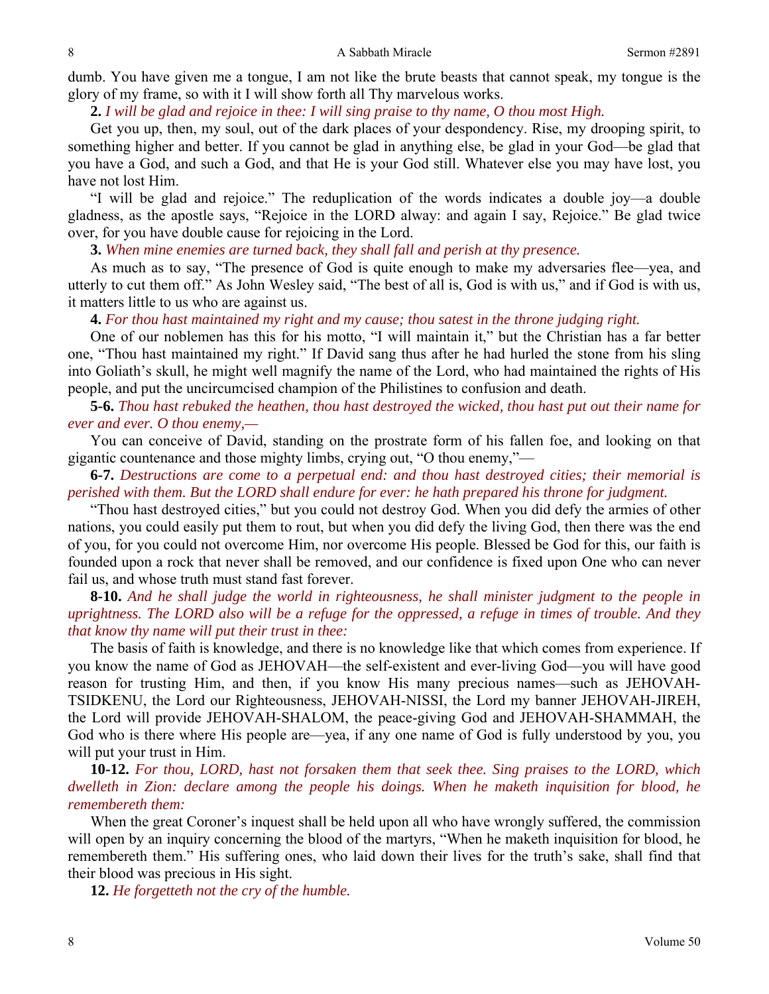dumb. You have given me a tongue, I am not like the brute beasts that cannot speak, my tongue is the glory of my frame, so with it I will show forth all Thy marvelous works.

**2.** *I will be glad and rejoice in thee: I will sing praise to thy name, O thou most High.* 

Get you up, then, my soul, out of the dark places of your despondency. Rise, my drooping spirit, to something higher and better. If you cannot be glad in anything else, be glad in your God—be glad that you have a God, and such a God, and that He is your God still. Whatever else you may have lost, you have not lost Him.

"I will be glad and rejoice." The reduplication of the words indicates a double joy—a double gladness, as the apostle says, "Rejoice in the LORD alway: and again I say, Rejoice." Be glad twice over, for you have double cause for rejoicing in the Lord.

**3.** *When mine enemies are turned back, they shall fall and perish at thy presence.* 

As much as to say, "The presence of God is quite enough to make my adversaries flee—yea, and utterly to cut them off." As John Wesley said, "The best of all is, God is with us," and if God is with us, it matters little to us who are against us.

**4.** *For thou hast maintained my right and my cause; thou satest in the throne judging right.* 

One of our noblemen has this for his motto, "I will maintain it," but the Christian has a far better one, "Thou hast maintained my right." If David sang thus after he had hurled the stone from his sling into Goliath's skull, he might well magnify the name of the Lord, who had maintained the rights of His people, and put the uncircumcised champion of the Philistines to confusion and death.

# **5-6.** *Thou hast rebuked the heathen, thou hast destroyed the wicked, thou hast put out their name for ever and ever. O thou enemy,—*

You can conceive of David, standing on the prostrate form of his fallen foe, and looking on that gigantic countenance and those mighty limbs, crying out, "O thou enemy,"—

**6-7.** *Destructions are come to a perpetual end: and thou hast destroyed cities; their memorial is perished with them. But the LORD shall endure for ever: he hath prepared his throne for judgment.* 

"Thou hast destroyed cities," but you could not destroy God. When you did defy the armies of other nations, you could easily put them to rout, but when you did defy the living God, then there was the end of you, for you could not overcome Him, nor overcome His people. Blessed be God for this, our faith is founded upon a rock that never shall be removed, and our confidence is fixed upon One who can never fail us, and whose truth must stand fast forever.

**8-10.** *And he shall judge the world in righteousness, he shall minister judgment to the people in uprightness. The LORD also will be a refuge for the oppressed, a refuge in times of trouble. And they that know thy name will put their trust in thee:* 

The basis of faith is knowledge, and there is no knowledge like that which comes from experience. If you know the name of God as JEHOVAH—the self-existent and ever-living God—you will have good reason for trusting Him, and then, if you know His many precious names—such as JEHOVAH-TSIDKENU, the Lord our Righteousness, JEHOVAH-NISSI, the Lord my banner JEHOVAH-JIREH, the Lord will provide JEHOVAH-SHALOM, the peace-giving God and JEHOVAH-SHAMMAH, the God who is there where His people are—yea, if any one name of God is fully understood by you, you will put your trust in Him.

**10-12.** *For thou, LORD, hast not forsaken them that seek thee. Sing praises to the LORD, which dwelleth in Zion: declare among the people his doings. When he maketh inquisition for blood, he remembereth them:* 

When the great Coroner's inquest shall be held upon all who have wrongly suffered, the commission will open by an inquiry concerning the blood of the martyrs, "When he maketh inquisition for blood, he remembereth them." His suffering ones, who laid down their lives for the truth's sake, shall find that their blood was precious in His sight.

**12.** *He forgetteth not the cry of the humble.*